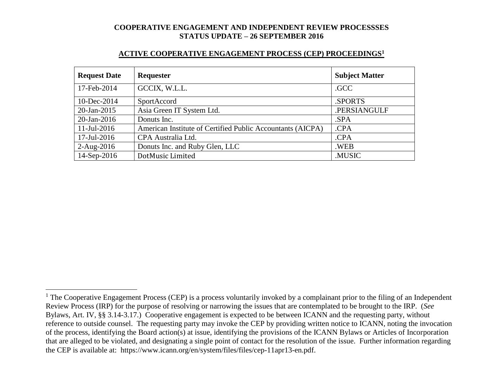| <b>Request Date</b> | Requester                                                  | <b>Subject Matter</b> |
|---------------------|------------------------------------------------------------|-----------------------|
| 17-Feb-2014         | GCCIX, W.L.L.                                              | .GCC                  |
| 10-Dec-2014         | SportAccord                                                | .SPORTS               |
| 20-Jan-2015         | Asia Green IT System Ltd.                                  | .PERSIANGULF          |
| $20$ -Jan-2016      | Donuts Inc.                                                | .SPA                  |
| $11$ -Jul-2016      | American Institute of Certified Public Accountants (AICPA) | .CPA                  |
| $17$ -Jul-2016      | CPA Australia Ltd.                                         | .CPA                  |
| $2-Aug-2016$        | Donuts Inc. and Ruby Glen, LLC                             | .WEB                  |
| 14-Sep-2016         | DotMusic Limited                                           | .MUSIC                |

 $\overline{a}$ 

 $1$  The Cooperative Engagement Process (CEP) is a process voluntarily invoked by a complainant prior to the filing of an Independent Review Process (IRP) for the purpose of resolving or narrowing the issues that are contemplated to be brought to the IRP. (*See* Bylaws, Art. IV, §§ 3.14-3.17.) Cooperative engagement is expected to be between ICANN and the requesting party, without reference to outside counsel. The requesting party may invoke the CEP by providing written notice to ICANN, noting the invocation of the process, identifying the Board action(s) at issue, identifying the provisions of the ICANN Bylaws or Articles of Incorporation that are alleged to be violated, and designating a single point of contact for the resolution of the issue. Further information regarding the CEP is available at: https://www.icann.org/en/system/files/files/cep-11apr13-en.pdf.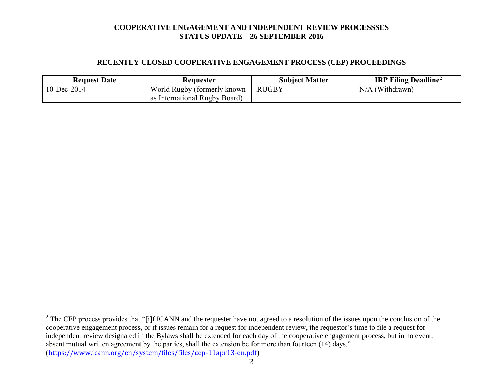# **RECENTLY CLOSED COOPERATIVE ENGAGEMENT PROCESS (CEP) PROCEEDINGS**

| <b>Request Date</b> | <b>Requester</b>              | <b>Subject Matter</b> | <b>IRP Filing Deadline</b> <sup>2</sup> |
|---------------------|-------------------------------|-----------------------|-----------------------------------------|
| $10$ -Dec-2014      | World Rugby (formerly known)  | .RUGBY                | $N/A$ (Withdrawn)                       |
|                     | as International Rugby Board) |                       |                                         |

 $\overline{a}$ 

2

 $2^2$  The CEP process provides that "[i]f ICANN and the requester have not agreed to a resolution of the issues upon the conclusion of the cooperative engagement process, or if issues remain for a request for independent review, the requestor's time to file a request for independent review designated in the Bylaws shall be extended for each day of the cooperative engagement process, but in no event, absent mutual written agreement by the parties, shall the extension be for more than fourteen (14) days." (https://www.icann.org/en/system/files/files/cep-11apr13-en.pdf)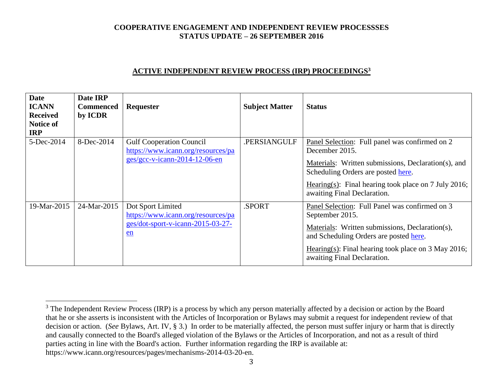## **ACTIVE INDEPENDENT REVIEW PROCESS (IRP) PROCEEDINGS<sup>3</sup>**

| <b>Date</b><br><b>ICANN</b><br><b>Received</b><br>Notice of<br><b>IRP</b> | Date IRP<br><b>Commenced</b><br>by ICDR | Requester                                                                                              | <b>Subject Matter</b> | <b>Status</b>                                                                                                                                                                                                                                          |
|---------------------------------------------------------------------------|-----------------------------------------|--------------------------------------------------------------------------------------------------------|-----------------------|--------------------------------------------------------------------------------------------------------------------------------------------------------------------------------------------------------------------------------------------------------|
| 5-Dec-2014                                                                | 8-Dec-2014                              | <b>Gulf Cooperation Council</b><br>https://www.icann.org/resources/pa<br>ges/gcc-v-icann-2014-12-06-en | .PERSIANGULF          | Panel Selection: Full panel was confirmed on 2<br>December 2015.<br>Materials: Written submissions, Declaration(s), and<br>Scheduling Orders are posted here.<br>Hearing(s): Final hearing took place on 7 July 2016;<br>awaiting Final Declaration.   |
| 19-Mar-2015                                                               | 24-Mar-2015                             | Dot Sport Limited<br>https://www.icann.org/resources/pa<br>ges/dot-sport-v-icann-2015-03-27-<br>$en$   | .SPORT                | Panel Selection: Full Panel was confirmed on 3<br>September 2015.<br>Materials: Written submissions, Declaration(s),<br>and Scheduling Orders are posted here.<br>Hearing(s): Final hearing took place on $3$ May 2016;<br>awaiting Final Declaration. |

 $\overline{a}$ 

<sup>&</sup>lt;sup>3</sup> The Independent Review Process (IRP) is a process by which any person materially affected by a decision or action by the Board that he or she asserts is inconsistent with the Articles of Incorporation or Bylaws may submit a request for independent review of that decision or action. (*See* Bylaws, Art. IV, § 3.) In order to be materially affected, the person must suffer injury or harm that is directly and causally connected to the Board's alleged violation of the Bylaws or the Articles of Incorporation, and not as a result of third parties acting in line with the Board's action. Further information regarding the IRP is available at: https://www.icann.org/resources/pages/mechanisms-2014-03-20-en.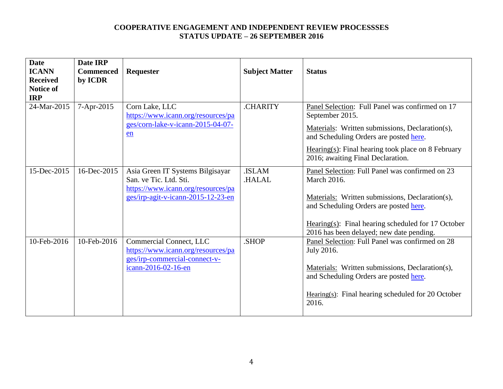| <b>Date</b><br><b>ICANN</b><br><b>Received</b><br><b>Notice of</b><br><b>IRP</b> | Date IRP<br><b>Commenced</b><br>by ICDR | Requester                                                                                                                              | <b>Subject Matter</b> | <b>Status</b>                                                                                                                                                                                                                                                   |
|----------------------------------------------------------------------------------|-----------------------------------------|----------------------------------------------------------------------------------------------------------------------------------------|-----------------------|-----------------------------------------------------------------------------------------------------------------------------------------------------------------------------------------------------------------------------------------------------------------|
| 24-Mar-2015                                                                      | 7-Apr-2015                              | Corn Lake, LLC<br>https://www.icann.org/resources/pa<br>ges/corn-lake-v-icann-2015-04-07-<br>en                                        | <b>CHARITY</b>        | Panel Selection: Full Panel was confirmed on 17<br>September 2015.<br>Materials: Written submissions, Declaration(s),<br>and Scheduling Orders are posted here.<br>$Hearing(s): Final hearing took place on 8 February$<br>2016; awaiting Final Declaration.    |
| 15-Dec-2015                                                                      | 16-Dec-2015                             | Asia Green IT Systems Bilgisayar<br>San. ve Tic. Ltd. Sti.<br>https://www.icann.org/resources/pa<br>ges/irp-agit-v-icann-2015-12-23-en | .ISLAM<br>.HALAL      | Panel Selection: Full Panel was confirmed on 23<br>March 2016.<br>Materials: Written submissions, Declaration(s),<br>and Scheduling Orders are posted here.<br>Hearing(s): Final hearing scheduled for $17$ October<br>2016 has been delayed; new date pending. |
| 10-Feb-2016                                                                      | 10-Feb-2016                             | Commercial Connect, LLC<br>https://www.icann.org/resources/pa<br>ges/irp-commercial-connect-v-<br>icann-2016-02-16-en                  | .SHOP                 | Panel Selection: Full Panel was confirmed on 28<br>July 2016.<br>Materials: Written submissions, Declaration(s),<br>and Scheduling Orders are posted here.<br>Hearing $(s)$ : Final hearing scheduled for 20 October<br>2016.                                   |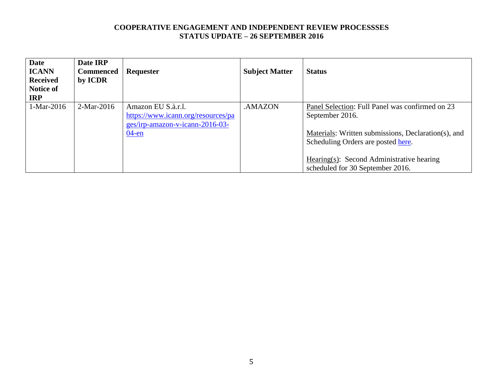| <b>Date</b><br><b>ICANN</b><br><b>Received</b><br>Notice of<br><b>IRP</b> | Date IRP<br><b>Commenced</b><br>by ICDR | <b>Requester</b>                                                                                        | <b>Subject Matter</b> | <b>Status</b>                                                                                                                                                                                                |
|---------------------------------------------------------------------------|-----------------------------------------|---------------------------------------------------------------------------------------------------------|-----------------------|--------------------------------------------------------------------------------------------------------------------------------------------------------------------------------------------------------------|
| 1-Mar-2016                                                                | $2-Mar-2016$                            | Amazon EU S.à.r.l.<br>https://www.icann.org/resources/pa<br>ges/irp-amazon-v-icann-2016-03-<br>$04$ -en | .AMAZON               | Panel Selection: Full Panel was confirmed on 23<br>September 2016.<br>Materials: Written submissions, Declaration(s), and<br>Scheduling Orders are posted here.<br>Hearing(s): Second Administrative hearing |
|                                                                           |                                         |                                                                                                         |                       | scheduled for 30 September 2016.                                                                                                                                                                             |